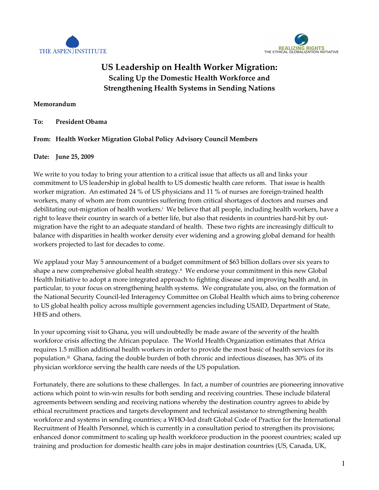



# US Leadership on Health Worker Migration: Scaling Up the Domestic Health Workforce and Strengthening Health Systems in Sending Nations

## Memorandum

### To: President Obama

## From: Health Worker Migration Global Policy Advisory Council Members

#### Date: June 25, 2009

We write to you today to bring your attention to a critical issue that affects us all and links your commitment to US leadership in global health to US domestic health care reform. That issue is health worker migration. An estimated 24 % of US physicians and 11 % of nurses are foreign-trained health workers, many of whom are from countries suffering from critical shortages of doctors and nurses and debilitating out-migration of health workers.<sup>i</sup> We believe that all people, including health workers, have a right to leave their country in search of a better life, but also that residents in countries hard-hit by outmigration have the right to an adequate standard of health. These two rights are increasingly difficult to balance with disparities in health worker density ever widening and a growing global demand for health workers projected to last for decades to come.

We applaud your May 5 announcement of a budget commitment of \$63 billion dollars over six years to shape a new comprehensive global health strategy.<sup>ii</sup> We endorse your commitment in this new Global Health Initiative to adopt a more integrated approach to fighting disease and improving health and, in particular, to your focus on strengthening health systems. We congratulate you, also, on the formation of the National Security Council-led Interagency Committee on Global Health which aims to bring coherence to US global health policy across multiple government agencies including USAID, Department of State, HHS and others.

In your upcoming visit to Ghana, you will undoubtedly be made aware of the severity of the health workforce crisis affecting the African populace. The World Health Organization estimates that Africa requires 1.5 million additional health workers in order to provide the most basic of health services for its population.<sup>iii</sup> Ghana, facing the double burden of both chronic and infectious diseases, has 30% of its physician workforce serving the health care needs of the US population.

Fortunately, there are solutions to these challenges. In fact, a number of countries are pioneering innovative actions which point to win-win results for both sending and receiving countries. These include bilateral agreements between sending and receiving nations whereby the destination country agrees to abide by ethical recruitment practices and targets development and technical assistance to strengthening health workforce and systems in sending countries; a WHO-led draft Global Code of Practice for the International Recruitment of Health Personnel, which is currently in a consultation period to strengthen its provisions; enhanced donor commitment to scaling up health workforce production in the poorest countries; scaled up training and production for domestic health care jobs in major destination countries (US, Canada, UK,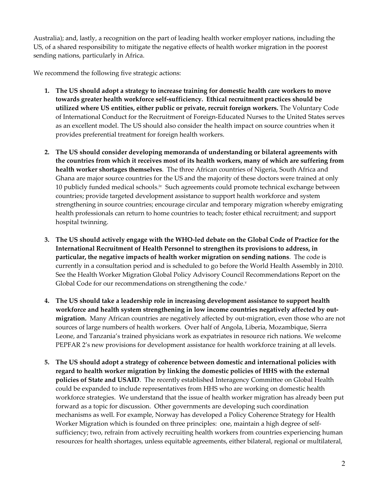Australia); and, lastly, a recognition on the part of leading health worker employer nations, including the US, of a shared responsibility to mitigate the negative effects of health worker migration in the poorest sending nations, particularly in Africa.

We recommend the following five strategic actions:

- 1. The US should adopt a strategy to increase training for domestic health care workers to move towards greater health workforce self-sufficiency. Ethical recruitment practices should be utilized where US entities, either public or private, recruit foreign workers. The Voluntary Code of International Conduct for the Recruitment of Foreign-Educated Nurses to the United States serves as an excellent model. The US should also consider the health impact on source countries when it provides preferential treatment for foreign health workers.
- 2. The US should consider developing memoranda of understanding or bilateral agreements with the countries from which it receives most of its health workers, many of which are suffering from health worker shortages themselves. The three African countries of Nigeria, South Africa and Ghana are major source countries for the US and the majority of these doctors were trained at only 10 publicly funded medical schools.<sup>iv</sup> Such agreements could promote technical exchange between countries; provide targeted development assistance to support health workforce and system strengthening in source countries; encourage circular and temporary migration whereby emigrating health professionals can return to home countries to teach; foster ethical recruitment; and support hospital twinning.
- 3. The US should actively engage with the WHO-led debate on the Global Code of Practice for the International Recruitment of Health Personnel to strengthen its provisions to address, in particular, the negative impacts of health worker migration on sending nations. The code is currently in a consultation period and is scheduled to go before the World Health Assembly in 2010. See the Health Worker Migration Global Policy Advisory Council Recommendations Report on the Global Code for our recommendations on strengthening the code.<sup>v</sup>
- 4. The US should take a leadership role in increasing development assistance to support health workforce and health system strengthening in low income countries negatively affected by outmigration. Many African countries are negatively affected by out-migration, even those who are not sources of large numbers of health workers. Over half of Angola, Liberia, Mozambique, Sierra Leone, and Tanzania's trained physicians work as expatriates in resource rich nations. We welcome PEPFAR 2's new provisions for development assistance for health workforce training at all levels.
- 5. The US should adopt a strategy of coherence between domestic and international policies with regard to health worker migration by linking the domestic policies of HHS with the external policies of State and USAID. The recently established Interagency Committee on Global Health could be expanded to include representatives from HHS who are working on domestic health workforce strategies. We understand that the issue of health worker migration has already been put forward as a topic for discussion. Other governments are developing such coordination mechanisms as well. For example, Norway has developed a Policy Coherence Strategy for Health Worker Migration which is founded on three principles: one, maintain a high degree of selfsufficiency; two, refrain from actively recruiting health workers from countries experiencing human resources for health shortages, unless equitable agreements, either bilateral, regional or multilateral,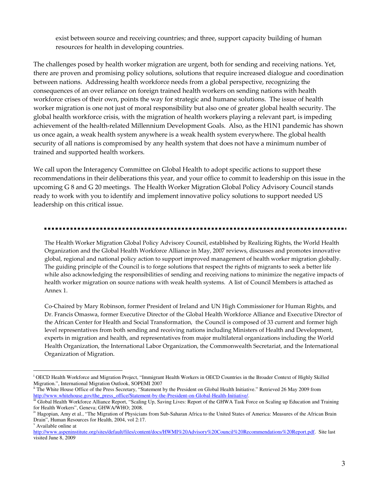exist between source and receiving countries; and three, support capacity building of human resources for health in developing countries.

The challenges posed by health worker migration are urgent, both for sending and receiving nations. Yet, there are proven and promising policy solutions, solutions that require increased dialogue and coordination between nations. Addressing health workforce needs from a global perspective, recognizing the consequences of an over reliance on foreign trained health workers on sending nations with health workforce crises of their own, points the way for strategic and humane solutions. The issue of health worker migration is one not just of moral responsibility but also one of greater global health security. The global health workforce crisis, with the migration of health workers playing a relevant part, is impeding achievement of the health-related Millennium Development Goals. Also, as the H1N1 pandemic has shown us once again, a weak health system anywhere is a weak health system everywhere. The global health security of all nations is compromised by any health system that does not have a minimum number of trained and supported health workers.

We call upon the Interagency Committee on Global Health to adopt specific actions to support these recommendations in their deliberations this year, and your office to commit to leadership on this issue in the upcoming G 8 and G 20 meetings. The Health Worker Migration Global Policy Advisory Council stands ready to work with you to identify and implement innovative policy solutions to support needed US leadership on this critical issue.

The Health Worker Migration Global Policy Advisory Council, established by Realizing Rights, the World Health Organization and the Global Health Workforce Alliance in May, 2007 reviews, discusses and promotes innovative global, regional and national policy action to support improved management of health worker migration globally. The guiding principle of the Council is to forge solutions that respect the rights of migrants to seek a better life while also acknowledging the responsibilities of sending and receiving nations to minimize the negative impacts of health worker migration on source nations with weak health systems. A list of Council Members is attached as Annex 1.

Co-Chaired by Mary Robinson, former President of Ireland and UN High Commissioner for Human Rights, and Dr. Francis Omaswa, former Executive Director of the Global Health Workforce Alliance and Executive Director of the African Center for Health and Social Transformation, the Council is composed of 33 current and former high level representatives from both sending and receiving nations including Ministers of Health and Development, experts in migration and health, and representatives from major multilateral organizations including the World Health Organization, the International Labor Organization, the Commonwealth Secretariat, and the International Organization of Migration.

-

<sup>&</sup>lt;sup>i</sup> OECD Health Workforce and Migration Project, "Immigrant Health Workers in OECD Countries in the Broader Context of Highly Skilled Migration.", International Migration Outlook, SOPEMI 2007

ii The White House Office of the Press Secretary, "Statement by the President on Global Health Initiative." Retrieved 26 May 2009 from http://www.whitehouse.gov/the\_press\_office/Statement-by-the-President-on-Global-Health-Initiative/.

<sup>&</sup>lt;sup>iii</sup> Global Health Workforce Alliance Report, "Scaling Up, Saving Lives: Report of the GHWA Task Force on Scaling up Education and Training for Health Workers", Geneva; GHWA/WHO; 2008.

<sup>&</sup>lt;sup>iv</sup> Hagopian, Amy et al., "The Migration of Physicians from Sub-Saharan Africa to the United States of America: Measures of the African Brain Drain", Human Resources for Health, 2004, vol 2:17.

v Available online at

http://www.aspeninstitute.org/sites/default/files/content/docs/HWMI%20Advisory%20Council%20Recommendations%20Report.pdf. Site last visited June 8, 2009